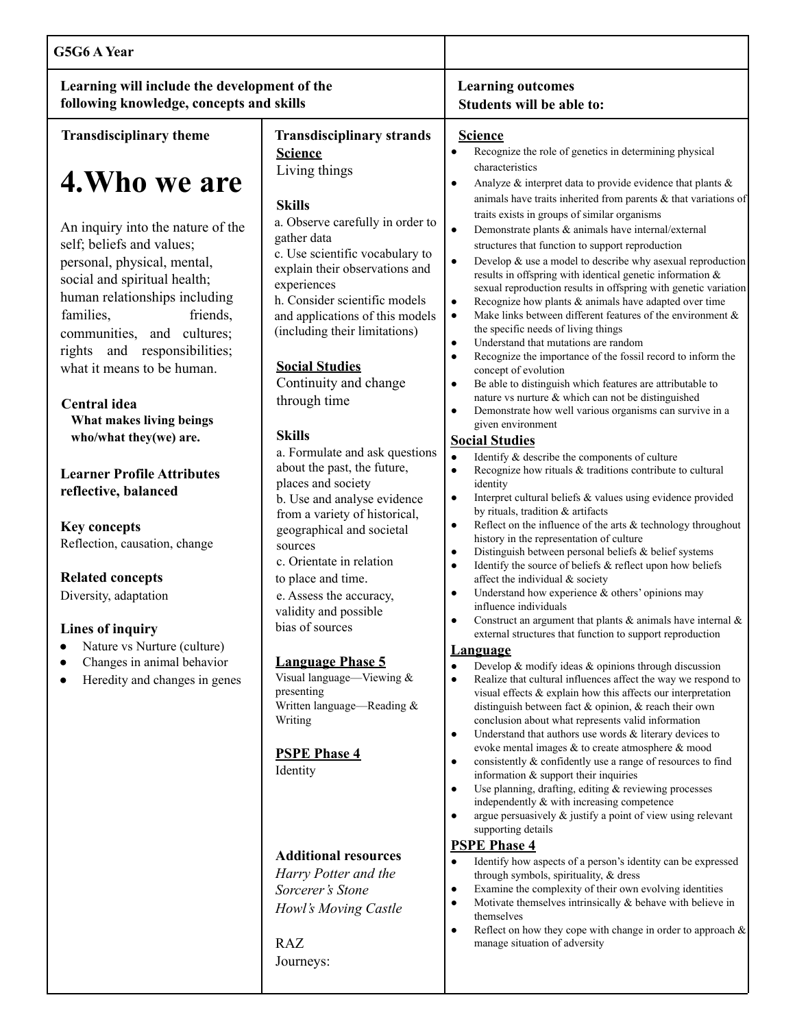| G5G6 A Year                                                                                                                                                                                                                                                                                                                                                                                                                                                                                                                                                                    |                                                                                                                                                                                                                                                                                                                                                                                                                                                                                                                                                                                                                                                                                       |                                                                                                                                                                                                                                                                                                                                                                                                                                                                                                                                                                                                                                                                                                                                                                                                                                                                                                                                                                                                                                                                                                                                                                                                                                                                                                                                                                                                                                                                                                                                                                                                                                                                                                                                                                                                                                                                                                                                                             |
|--------------------------------------------------------------------------------------------------------------------------------------------------------------------------------------------------------------------------------------------------------------------------------------------------------------------------------------------------------------------------------------------------------------------------------------------------------------------------------------------------------------------------------------------------------------------------------|---------------------------------------------------------------------------------------------------------------------------------------------------------------------------------------------------------------------------------------------------------------------------------------------------------------------------------------------------------------------------------------------------------------------------------------------------------------------------------------------------------------------------------------------------------------------------------------------------------------------------------------------------------------------------------------|-------------------------------------------------------------------------------------------------------------------------------------------------------------------------------------------------------------------------------------------------------------------------------------------------------------------------------------------------------------------------------------------------------------------------------------------------------------------------------------------------------------------------------------------------------------------------------------------------------------------------------------------------------------------------------------------------------------------------------------------------------------------------------------------------------------------------------------------------------------------------------------------------------------------------------------------------------------------------------------------------------------------------------------------------------------------------------------------------------------------------------------------------------------------------------------------------------------------------------------------------------------------------------------------------------------------------------------------------------------------------------------------------------------------------------------------------------------------------------------------------------------------------------------------------------------------------------------------------------------------------------------------------------------------------------------------------------------------------------------------------------------------------------------------------------------------------------------------------------------------------------------------------------------------------------------------------------------|
| Learning will include the development of the<br>following knowledge, concepts and skills                                                                                                                                                                                                                                                                                                                                                                                                                                                                                       |                                                                                                                                                                                                                                                                                                                                                                                                                                                                                                                                                                                                                                                                                       | <b>Learning outcomes</b><br>Students will be able to:                                                                                                                                                                                                                                                                                                                                                                                                                                                                                                                                                                                                                                                                                                                                                                                                                                                                                                                                                                                                                                                                                                                                                                                                                                                                                                                                                                                                                                                                                                                                                                                                                                                                                                                                                                                                                                                                                                       |
| <b>Transdisciplinary theme</b>                                                                                                                                                                                                                                                                                                                                                                                                                                                                                                                                                 | <b>Transdisciplinary strands</b><br><b>Science</b>                                                                                                                                                                                                                                                                                                                                                                                                                                                                                                                                                                                                                                    | <b>Science</b><br>Recognize the role of genetics in determining physical<br>$\bullet$                                                                                                                                                                                                                                                                                                                                                                                                                                                                                                                                                                                                                                                                                                                                                                                                                                                                                                                                                                                                                                                                                                                                                                                                                                                                                                                                                                                                                                                                                                                                                                                                                                                                                                                                                                                                                                                                       |
| 4. Who we are<br>An inquiry into the nature of the<br>self; beliefs and values;<br>personal, physical, mental,<br>social and spiritual health;<br>human relationships including<br>families,<br>friends,<br>communities, and cultures;<br>rights and responsibilities;<br>what it means to be human.<br>Central idea<br>What makes living beings<br>who/what they(we) are.<br><b>Learner Profile Attributes</b><br>reflective, balanced<br><b>Key concepts</b><br>Reflection, causation, change<br><b>Related concepts</b><br>Diversity, adaptation<br><b>Lines of inquiry</b> | Living things<br><b>Skills</b><br>a. Observe carefully in order to<br>gather data<br>c. Use scientific vocabulary to<br>explain their observations and<br>experiences<br>h. Consider scientific models<br>and applications of this models<br>(including their limitations)<br><b>Social Studies</b><br>Continuity and change<br>through time<br><b>Skills</b><br>a. Formulate and ask questions<br>about the past, the future,<br>places and society<br>b. Use and analyse evidence<br>from a variety of historical,<br>geographical and societal<br>sources<br>c. Orientate in relation<br>to place and time.<br>e. Assess the accuracy,<br>validity and possible<br>bias of sources | characteristics<br>Analyze $\&$ interpret data to provide evidence that plants $\&$<br>$\bullet$<br>animals have traits inherited from parents $\&$ that variations of<br>traits exists in groups of similar organisms<br>Demonstrate plants & animals have internal/external<br>$\bullet$<br>structures that function to support reproduction<br>Develop $\&$ use a model to describe why asexual reproduction<br>$\bullet$<br>results in offspring with identical genetic information &<br>sexual reproduction results in offspring with genetic variation<br>Recognize how plants & animals have adapted over time<br>$\bullet$<br>Make links between different features of the environment $\&$<br>$\bullet$<br>the specific needs of living things<br>Understand that mutations are random<br>$\bullet$<br>Recognize the importance of the fossil record to inform the<br>$\bullet$<br>concept of evolution<br>Be able to distinguish which features are attributable to<br>nature vs nurture & which can not be distinguished<br>Demonstrate how well various organisms can survive in a<br>$\bullet$<br>given environment<br><b>Social Studies</b><br>Identify & describe the components of culture<br>$\bullet$<br>Recognize how rituals & traditions contribute to cultural<br>$\bullet$<br>identity<br>Interpret cultural beliefs & values using evidence provided<br>$\bullet$<br>by rituals, tradition & artifacts<br>Reflect on the influence of the arts & technology throughout<br>$\bullet$<br>history in the representation of culture<br>Distinguish between personal beliefs & belief systems<br>$\bullet$<br>Identify the source of beliefs & reflect upon how beliefs<br>$\bullet$<br>affect the individual & society<br>Understand how experience $&$ others' opinions may<br>influence individuals<br>Construct an argument that plants $\&$ animals have internal $\&$<br>external structures that function to support reproduction |
| Nature vs Nurture (culture)<br>Changes in animal behavior<br>Heredity and changes in genes                                                                                                                                                                                                                                                                                                                                                                                                                                                                                     | <b>Language Phase 5</b><br>Visual language-Viewing &<br>presenting<br>Written language-Reading &<br>Writing<br><b>PSPE Phase 4</b><br>Identity<br><b>Additional resources</b><br>Harry Potter and the<br>Sorcerer's Stone<br>Howl's Moving Castle<br><b>RAZ</b><br>Journeys:                                                                                                                                                                                                                                                                                                                                                                                                          | <b>Language</b><br>Develop $\&$ modify ideas $\&$ opinions through discussion<br>$\bullet$<br>Realize that cultural influences affect the way we respond to<br>visual effects & explain how this affects our interpretation<br>distinguish between fact & opinion, & reach their own<br>conclusion about what represents valid information<br>Understand that authors use words $&$ literary devices to<br>$\bullet$<br>evoke mental images $\&$ to create atmosphere $\&$ mood<br>consistently & confidently use a range of resources to find<br>$\bullet$<br>information $&$ support their inquiries<br>Use planning, drafting, editing $\&$ reviewing processes<br>$\bullet$<br>independently & with increasing competence<br>argue persuasively $\&$ justify a point of view using relevant<br>$\bullet$<br>supporting details<br><b>PSPE Phase 4</b><br>Identify how aspects of a person's identity can be expressed<br>$\bullet$<br>through symbols, spirituality, & dress<br>Examine the complexity of their own evolving identities<br>٠<br>Motivate themselves intrinsically $\&$ behave with believe in<br>$\bullet$<br>themselves<br>Reflect on how they cope with change in order to approach $\&$<br>$\bullet$<br>manage situation of adversity                                                                                                                                                                                                                                                                                                                                                                                                                                                                                                                                                                                                                                                                                                |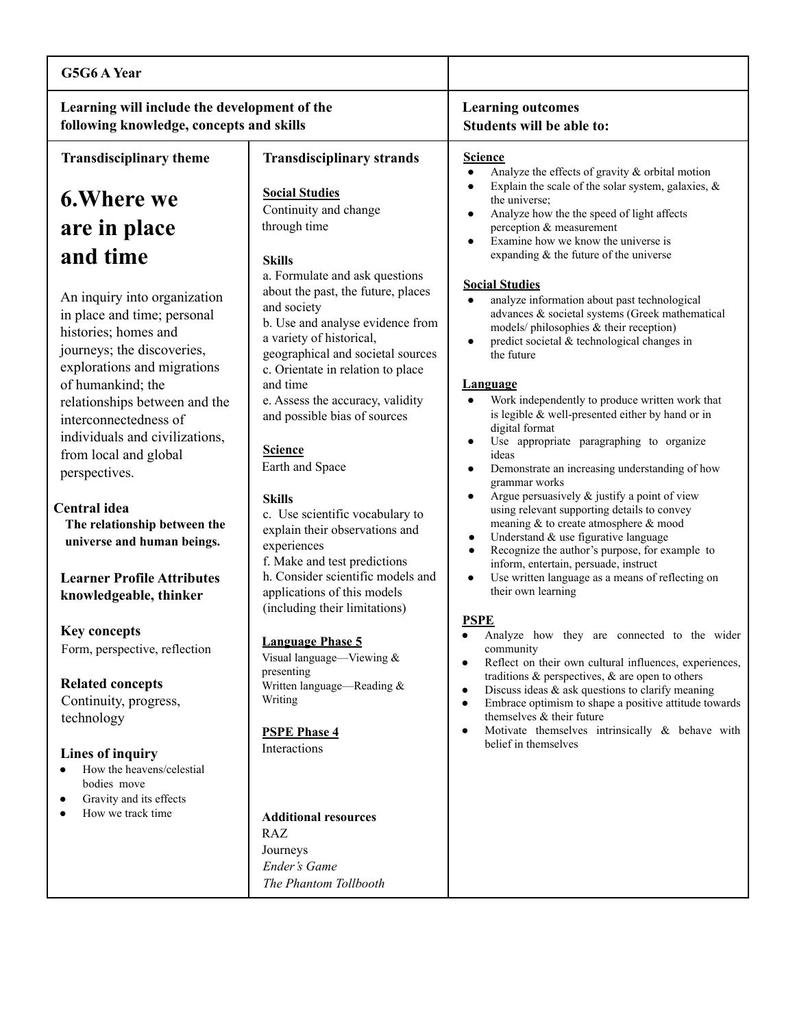| G5G6 A Year                                                                                                                                                                                                                                                                                                             |                                                                                                                                                                                                                                                                                                                                                                     |                                                                                                                                                                                                                                                                                                                                                                                                                                                                                                                                                         |
|-------------------------------------------------------------------------------------------------------------------------------------------------------------------------------------------------------------------------------------------------------------------------------------------------------------------------|---------------------------------------------------------------------------------------------------------------------------------------------------------------------------------------------------------------------------------------------------------------------------------------------------------------------------------------------------------------------|---------------------------------------------------------------------------------------------------------------------------------------------------------------------------------------------------------------------------------------------------------------------------------------------------------------------------------------------------------------------------------------------------------------------------------------------------------------------------------------------------------------------------------------------------------|
| Learning will include the development of the<br>following knowledge, concepts and skills                                                                                                                                                                                                                                |                                                                                                                                                                                                                                                                                                                                                                     | <b>Learning outcomes</b><br>Students will be able to:                                                                                                                                                                                                                                                                                                                                                                                                                                                                                                   |
| <b>Transdisciplinary theme</b>                                                                                                                                                                                                                                                                                          | <b>Transdisciplinary strands</b>                                                                                                                                                                                                                                                                                                                                    | <b>Science</b>                                                                                                                                                                                                                                                                                                                                                                                                                                                                                                                                          |
| <b>6. Where we</b><br>are in place                                                                                                                                                                                                                                                                                      | <b>Social Studies</b><br>Continuity and change<br>through time                                                                                                                                                                                                                                                                                                      | Analyze the effects of gravity & orbital motion<br>Explain the scale of the solar system, galaxies, $\&$<br>the universe;<br>Analyze how the the speed of light affects<br>$\bullet$<br>perception & measurement<br>Examine how we know the universe is                                                                                                                                                                                                                                                                                                 |
| and time<br>An inquiry into organization<br>in place and time; personal<br>histories; homes and<br>journeys; the discoveries,<br>explorations and migrations<br>of humankind; the<br>relationships between and the<br>interconnectedness of<br>individuals and civilizations,<br>from local and global<br>perspectives. | <b>Skills</b><br>a. Formulate and ask questions<br>about the past, the future, places<br>and society<br>b. Use and analyse evidence from<br>a variety of historical,<br>geographical and societal sources<br>c. Orientate in relation to place<br>and time<br>e. Assess the accuracy, validity<br>and possible bias of sources<br><b>Science</b><br>Earth and Space | expanding & the future of the universe<br><b>Social Studies</b><br>analyze information about past technological<br>$\bullet$<br>advances & societal systems (Greek mathematical<br>models/ philosophies & their reception)<br>predict societal & technological changes in<br>the future<br><b>Language</b><br>Work independently to produce written work that<br>is legible & well-presented either by hand or in<br>digital format<br>Use appropriate paragraphing to organize<br>ideas<br>Demonstrate an increasing understanding of how<br>$\bullet$ |
| Central idea<br>The relationship between the<br>universe and human beings.<br><b>Learner Profile Attributes</b><br>knowledgeable, thinker                                                                                                                                                                               | <b>Skills</b><br>c. Use scientific vocabulary to<br>explain their observations and<br>experiences<br>f. Make and test predictions<br>h. Consider scientific models and<br>applications of this models<br>(including their limitations)                                                                                                                              | grammar works<br>Argue persuasively & justify a point of view<br>$\bullet$<br>using relevant supporting details to convey<br>meaning & to create atmosphere & mood<br>Understand & use figurative language<br>$\bullet$<br>Recognize the author's purpose, for example to<br>$\bullet$<br>inform, entertain, persuade, instruct<br>Use written language as a means of reflecting on<br>their own learning                                                                                                                                               |
| <b>Key concepts</b><br>Form, perspective, reflection<br><b>Related concepts</b><br>Continuity, progress,<br>technology                                                                                                                                                                                                  | <b>Language Phase 5</b><br>Visual language—Viewing &<br>presenting<br>Written language—Reading &<br>Writing<br><b>PSPE Phase 4</b>                                                                                                                                                                                                                                  | <b>PSPE</b><br>Analyze how they are connected to the wider<br>community<br>Reflect on their own cultural influences, experiences,<br>$\bullet$<br>traditions $\&$ perspectives, $\&$ are open to others<br>Discuss ideas $\&$ ask questions to clarify meaning<br>$\bullet$<br>Embrace optimism to shape a positive attitude towards<br>$\bullet$<br>themselves & their future<br>Motivate themselves intrinsically & behave with<br>٠                                                                                                                  |
| <b>Lines of inquiry</b><br>How the heavens/celestial<br>bodies move<br>Gravity and its effects<br>How we track time                                                                                                                                                                                                     | Interactions<br><b>Additional resources</b><br><b>RAZ</b><br>Journeys<br>Ender's Game<br>The Phantom Tollbooth                                                                                                                                                                                                                                                      | belief in themselves                                                                                                                                                                                                                                                                                                                                                                                                                                                                                                                                    |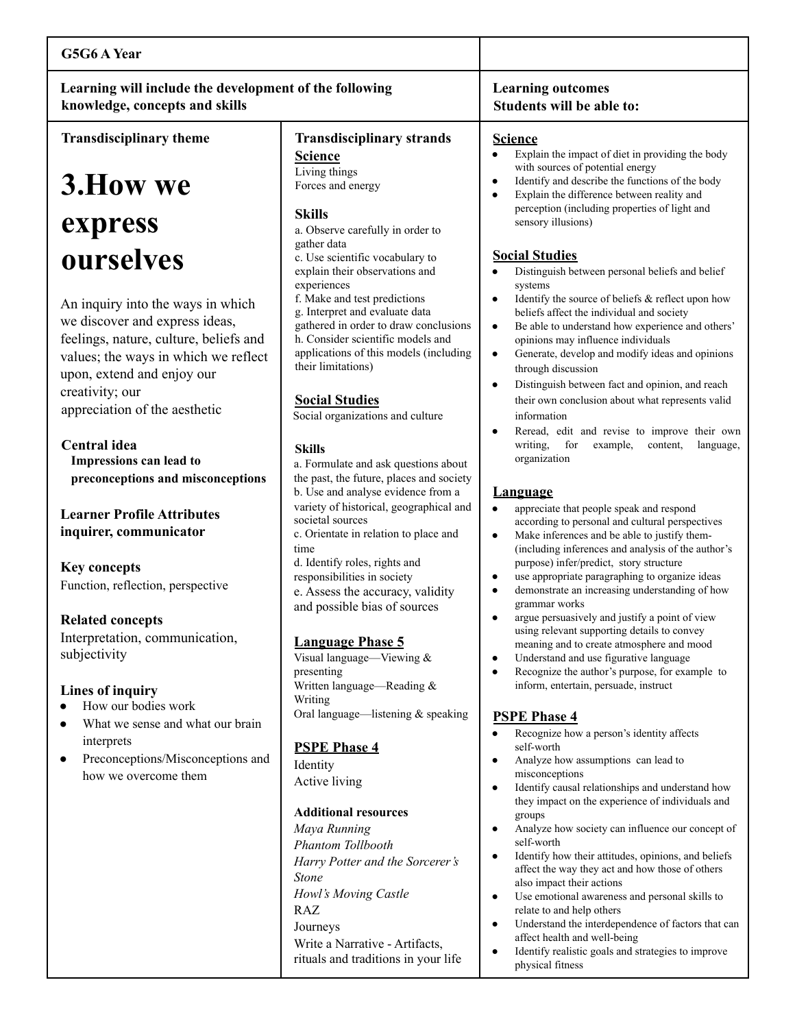| G5G6 A Year                                                                                                                                                                                                                             |                                                                                                                                                                                                                                                                           |                                                                                                                                                                                                                                                                                                                                                                                                                                           |
|-----------------------------------------------------------------------------------------------------------------------------------------------------------------------------------------------------------------------------------------|---------------------------------------------------------------------------------------------------------------------------------------------------------------------------------------------------------------------------------------------------------------------------|-------------------------------------------------------------------------------------------------------------------------------------------------------------------------------------------------------------------------------------------------------------------------------------------------------------------------------------------------------------------------------------------------------------------------------------------|
| Learning will include the development of the following<br>knowledge, concepts and skills                                                                                                                                                |                                                                                                                                                                                                                                                                           | <b>Learning outcomes</b><br>Students will be able to:                                                                                                                                                                                                                                                                                                                                                                                     |
| <b>Transdisciplinary theme</b>                                                                                                                                                                                                          | <b>Transdisciplinary strands</b>                                                                                                                                                                                                                                          | <b>Science</b>                                                                                                                                                                                                                                                                                                                                                                                                                            |
| 3. How we                                                                                                                                                                                                                               | <b>Science</b><br>Living things<br>Forces and energy<br><b>Skills</b>                                                                                                                                                                                                     | Explain the impact of diet in providing the body<br>$\bullet$<br>with sources of potential energy<br>Identify and describe the functions of the body<br>$\bullet$<br>Explain the difference between reality and<br>$\bullet$<br>perception (including properties of light and                                                                                                                                                             |
| express                                                                                                                                                                                                                                 | a. Observe carefully in order to                                                                                                                                                                                                                                          | sensory illusions)                                                                                                                                                                                                                                                                                                                                                                                                                        |
| ourselves                                                                                                                                                                                                                               | gather data<br>c. Use scientific vocabulary to<br>explain their observations and<br>experiences                                                                                                                                                                           | <b>Social Studies</b><br>Distinguish between personal beliefs and belief<br>systems                                                                                                                                                                                                                                                                                                                                                       |
| An inquiry into the ways in which<br>we discover and express ideas,<br>feelings, nature, culture, beliefs and<br>values; the ways in which we reflect<br>upon, extend and enjoy our<br>creativity; our<br>appreciation of the aesthetic | f. Make and test predictions<br>g. Interpret and evaluate data<br>gathered in order to draw conclusions<br>h. Consider scientific models and<br>applications of this models (including<br>their limitations)<br><b>Social Studies</b><br>Social organizations and culture | Identify the source of beliefs & reflect upon how<br>beliefs affect the individual and society<br>Be able to understand how experience and others'<br>$\bullet$<br>opinions may influence individuals<br>Generate, develop and modify ideas and opinions<br>$\bullet$<br>through discussion<br>Distinguish between fact and opinion, and reach<br>$\bullet$<br>their own conclusion about what represents valid<br>information            |
| Central idea<br>Impressions can lead to                                                                                                                                                                                                 | <b>Skills</b><br>a. Formulate and ask questions about                                                                                                                                                                                                                     | Reread, edit and revise to improve their own<br>writing,<br>for<br>example,<br>content,<br>language,<br>organization                                                                                                                                                                                                                                                                                                                      |
| preconceptions and misconceptions                                                                                                                                                                                                       | the past, the future, places and society<br>b. Use and analyse evidence from a                                                                                                                                                                                            | <b>Language</b>                                                                                                                                                                                                                                                                                                                                                                                                                           |
| <b>Learner Profile Attributes</b><br>inquirer, communicator<br><b>Key concepts</b>                                                                                                                                                      | variety of historical, geographical and<br>societal sources<br>c. Orientate in relation to place and<br>time<br>d. Identify roles, rights and                                                                                                                             | appreciate that people speak and respond<br>$\bullet$<br>according to personal and cultural perspectives<br>Make inferences and be able to justify them-<br>$\bullet$<br>(including inferences and analysis of the author's<br>purpose) infer/predict, story structure                                                                                                                                                                    |
| Function, reflection, perspective                                                                                                                                                                                                       | responsibilities in society<br>e. Assess the accuracy, validity<br>and possible bias of sources                                                                                                                                                                           | use appropriate paragraphing to organize ideas<br>$\bullet$<br>demonstrate an increasing understanding of how<br>$\bullet$<br>grammar works                                                                                                                                                                                                                                                                                               |
| <b>Related concepts</b><br>Interpretation, communication,<br>subjectivity<br>Lines of inquiry                                                                                                                                           | <b>Language Phase 5</b><br>Visual language—Viewing $&$<br>presenting<br>Written language-Reading &<br>Writing                                                                                                                                                             | argue persuasively and justify a point of view<br>using relevant supporting details to convey<br>meaning and to create atmosphere and mood<br>Understand and use figurative language<br>$\bullet$<br>Recognize the author's purpose, for example to<br>$\bullet$<br>inform, entertain, persuade, instruct                                                                                                                                 |
| How our bodies work<br>What we sense and what our brain<br>interprets<br>Preconceptions/Misconceptions and<br>how we overcome them                                                                                                      | Oral language—listening & speaking<br><b>PSPE Phase 4</b><br>Identity<br>Active living                                                                                                                                                                                    | <b>PSPE Phase 4</b><br>Recognize how a person's identity affects<br>$\bullet$<br>self-worth<br>Analyze how assumptions can lead to<br>$\bullet$<br>misconceptions<br>Identify causal relationships and understand how<br>$\bullet$<br>they impact on the experience of individuals and                                                                                                                                                    |
|                                                                                                                                                                                                                                         | <b>Additional resources</b><br>Maya Running<br>Phantom Tollbooth<br>Harry Potter and the Sorcerer's<br><b>Stone</b><br>Howl's Moving Castle<br>RAZ<br>Journeys<br>Write a Narrative - Artifacts,                                                                          | groups<br>Analyze how society can influence our concept of<br>self-worth<br>Identify how their attitudes, opinions, and beliefs<br>affect the way they act and how those of others<br>also impact their actions<br>Use emotional awareness and personal skills to<br>$\bullet$<br>relate to and help others<br>Understand the interdependence of factors that can<br>$\bullet$<br>affect health and well-being<br>والموجر ونفونا وموردكنه |

rituals and traditions in your life

● Identify realistic goals and strategies to improve physical fitness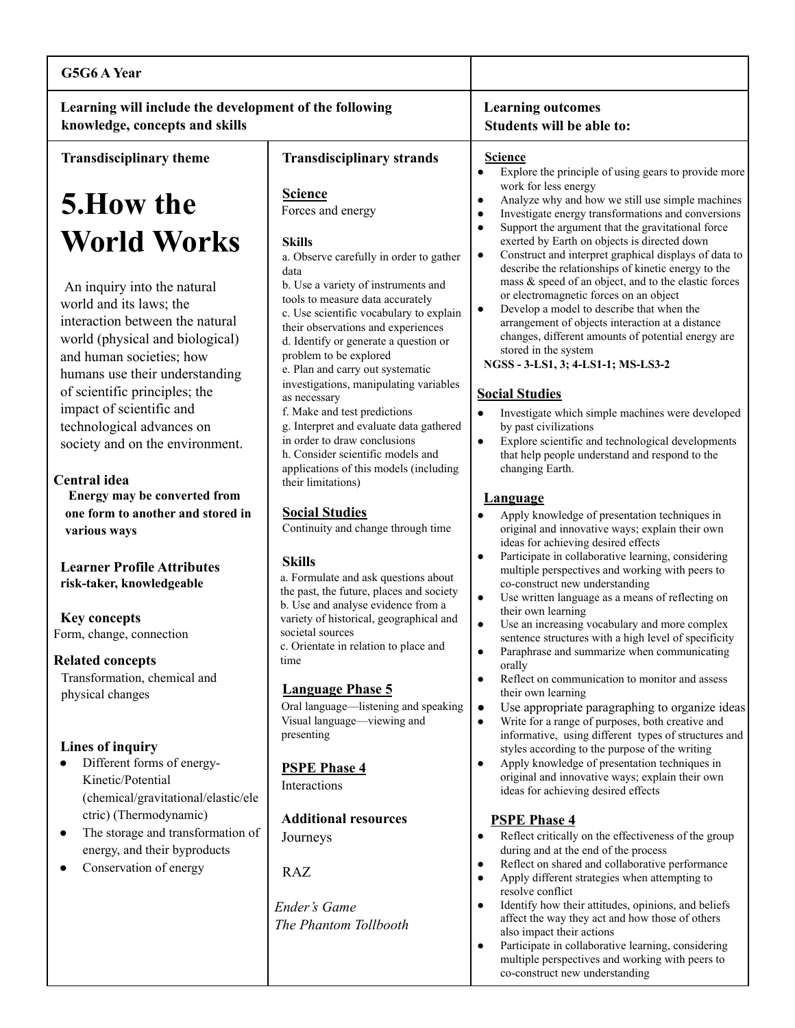| G5G6 A Year                                                                                                                                                                                               |                                                                                                                                                                                                                                                                                                                                                                               |                                                                                                                                                                                                                                                                                                                                                                                                                                                                                                                                                                                 |
|-----------------------------------------------------------------------------------------------------------------------------------------------------------------------------------------------------------|-------------------------------------------------------------------------------------------------------------------------------------------------------------------------------------------------------------------------------------------------------------------------------------------------------------------------------------------------------------------------------|---------------------------------------------------------------------------------------------------------------------------------------------------------------------------------------------------------------------------------------------------------------------------------------------------------------------------------------------------------------------------------------------------------------------------------------------------------------------------------------------------------------------------------------------------------------------------------|
| Learning will include the development of the following<br>knowledge, concepts and skills                                                                                                                  |                                                                                                                                                                                                                                                                                                                                                                               | <b>Learning outcomes</b><br>Students will be able to:                                                                                                                                                                                                                                                                                                                                                                                                                                                                                                                           |
| <b>Transdisciplinary theme</b>                                                                                                                                                                            | <b>Transdisciplinary strands</b>                                                                                                                                                                                                                                                                                                                                              | <b>Science</b><br>Explore the principle of using gears to provide more<br>$\bullet$                                                                                                                                                                                                                                                                                                                                                                                                                                                                                             |
| <b>5.How the</b>                                                                                                                                                                                          | <b>Science</b><br>Forces and energy                                                                                                                                                                                                                                                                                                                                           | work for less energy<br>Analyze why and how we still use simple machines<br>$\bullet$<br>Investigate energy transformations and conversions<br>$\bullet$                                                                                                                                                                                                                                                                                                                                                                                                                        |
| World Works<br>An inquiry into the natural<br>world and its laws; the<br>interaction between the natural<br>world (physical and biological)<br>and human societies; how<br>humans use their understanding | <b>Skills</b><br>a. Observe carefully in order to gather<br>data<br>b. Use a variety of instruments and<br>tools to measure data accurately<br>c. Use scientific vocabulary to explain<br>their observations and experiences<br>d. Identify or generate a question or<br>problem to be explored<br>e. Plan and carry out systematic<br>investigations, manipulating variables | Support the argument that the gravitational force<br>$\bullet$<br>exerted by Earth on objects is directed down<br>Construct and interpret graphical displays of data to<br>$\bullet$<br>describe the relationships of kinetic energy to the<br>mass & speed of an object, and to the elastic forces<br>or electromagnetic forces on an object<br>Develop a model to describe that when the<br>$\bullet$<br>arrangement of objects interaction at a distance<br>changes, different amounts of potential energy are<br>stored in the system<br>NGSS - 3-LS1, 3; 4-LS1-1; MS-LS3-2 |
| of scientific principles; the<br>impact of scientific and<br>technological advances on<br>society and on the environment.<br>Central idea                                                                 | as necessary<br>f. Make and test predictions<br>g. Interpret and evaluate data gathered<br>in order to draw conclusions<br>h. Consider scientific models and<br>applications of this models (including                                                                                                                                                                        | <b>Social Studies</b><br>Investigate which simple machines were developed<br>$\bullet$<br>by past civilizations<br>Explore scientific and technological developments<br>$\bullet$<br>that help people understand and respond to the<br>changing Earth.                                                                                                                                                                                                                                                                                                                          |
| Energy may be converted from<br>one form to another and stored in<br>various ways                                                                                                                         | their limitations)<br><b>Social Studies</b><br>Continuity and change through time                                                                                                                                                                                                                                                                                             | Language<br>Apply knowledge of presentation techniques in<br>original and innovative ways; explain their own<br>ideas for achieving desired effects                                                                                                                                                                                                                                                                                                                                                                                                                             |
| <b>Learner Profile Attributes</b><br>risk-taker, knowledgeable                                                                                                                                            | <b>Skills</b><br>a. Formulate and ask questions about<br>the past, the future, places and society<br>b. Use and analyse evidence from a                                                                                                                                                                                                                                       | Participate in collaborative learning, considering<br>$\bullet$<br>multiple perspectives and working with peers to<br>co-construct new understanding<br>$\bullet$<br>Use written language as a means of reflecting on                                                                                                                                                                                                                                                                                                                                                           |
| <b>Key concepts</b><br>Form, change, connection                                                                                                                                                           | variety of historical, geographical and<br>societal sources<br>c. Orientate in relation to place and                                                                                                                                                                                                                                                                          | their own learning<br>$\bullet$<br>Use an increasing vocabulary and more complex<br>sentence structures with a high level of specificity                                                                                                                                                                                                                                                                                                                                                                                                                                        |
| <b>Related concepts</b><br>Transformation, chemical and<br>physical changes                                                                                                                               | time<br><b>Language Phase 5</b><br>Oral language-listening and speaking<br>Visual language—viewing and<br>presenting                                                                                                                                                                                                                                                          | Paraphrase and summarize when communicating<br>orally<br>Reflect on communication to monitor and assess<br>$\bullet$<br>their own learning<br>Use appropriate paragraphing to organize ideas<br>$\bullet$<br>Write for a range of purposes, both creative and<br>$\bullet$<br>informative, using different types of structures and                                                                                                                                                                                                                                              |
| Lines of inquiry<br>Different forms of energy-<br>Kinetic/Potential<br>(chemical/gravitational/elastic/ele                                                                                                | <b>PSPE Phase 4</b><br>Interactions                                                                                                                                                                                                                                                                                                                                           | styles according to the purpose of the writing<br>Apply knowledge of presentation techniques in<br>$\bullet$<br>original and innovative ways; explain their own<br>ideas for achieving desired effects                                                                                                                                                                                                                                                                                                                                                                          |
| ctric) (Thermodynamic)<br>The storage and transformation of<br>$\bullet$<br>energy, and their byproducts<br>Conservation of energy                                                                        | <b>Additional resources</b><br>Journeys<br><b>RAZ</b><br><b>Ender's Game</b><br>The Phantom Tollbooth                                                                                                                                                                                                                                                                         | <b>PSPE Phase 4</b><br>Reflect critically on the effectiveness of the group<br>during and at the end of the process<br>Reflect on shared and collaborative performance<br>$\bullet$<br>Apply different strategies when attempting to<br>$\bullet$<br>resolve conflict<br>Identify how their attitudes, opinions, and beliefs<br>$\bullet$<br>affect the way they act and how those of others<br>also impact their actions<br>Participate in collaborative learning, considering<br>$\bullet$<br>multiple perspectives and working with peers to                                 |

co-construct new understanding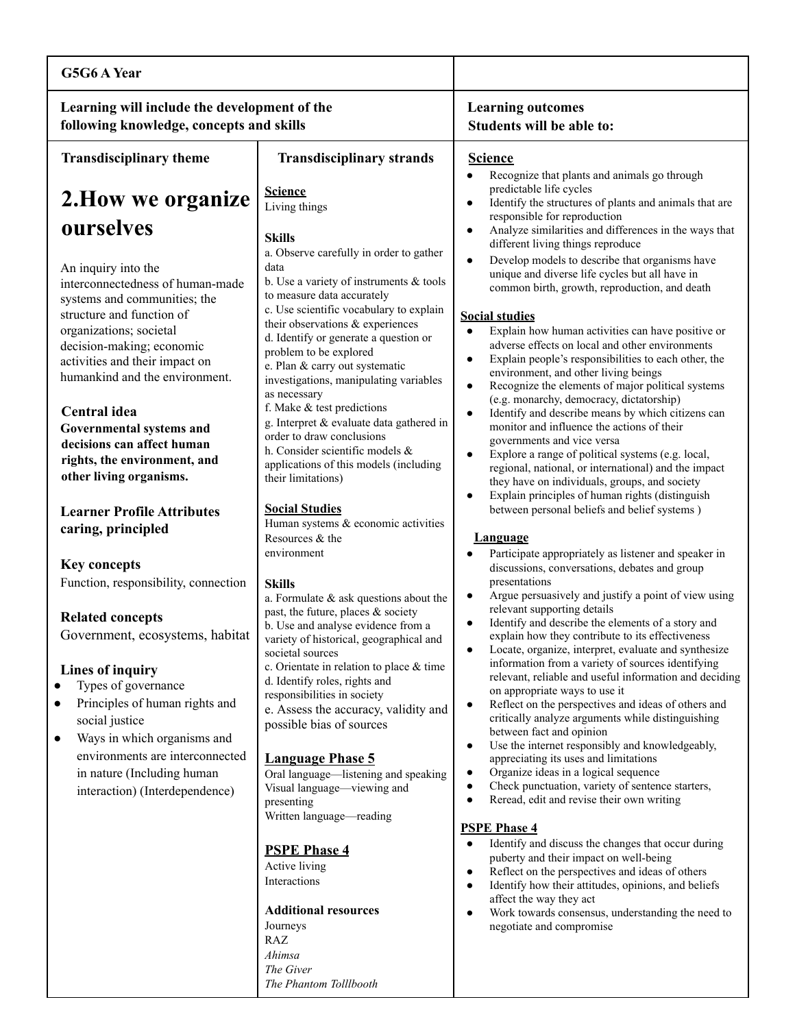| G5G6 A Year                                                                                                                                                                                                                                                                                                                                                                                                                |                                                                                                                                                                                                                                                                                                                                                                                                                                                                                                                                                                                                             |                                                                                                                                                                                                                                                                                                                                                                                                                                                                                                                                                                                                                                                                                                                                                                                                                                                                                                                                                                                             |
|----------------------------------------------------------------------------------------------------------------------------------------------------------------------------------------------------------------------------------------------------------------------------------------------------------------------------------------------------------------------------------------------------------------------------|-------------------------------------------------------------------------------------------------------------------------------------------------------------------------------------------------------------------------------------------------------------------------------------------------------------------------------------------------------------------------------------------------------------------------------------------------------------------------------------------------------------------------------------------------------------------------------------------------------------|---------------------------------------------------------------------------------------------------------------------------------------------------------------------------------------------------------------------------------------------------------------------------------------------------------------------------------------------------------------------------------------------------------------------------------------------------------------------------------------------------------------------------------------------------------------------------------------------------------------------------------------------------------------------------------------------------------------------------------------------------------------------------------------------------------------------------------------------------------------------------------------------------------------------------------------------------------------------------------------------|
| Learning will include the development of the<br>following knowledge, concepts and skills                                                                                                                                                                                                                                                                                                                                   |                                                                                                                                                                                                                                                                                                                                                                                                                                                                                                                                                                                                             | <b>Learning outcomes</b><br>Students will be able to:                                                                                                                                                                                                                                                                                                                                                                                                                                                                                                                                                                                                                                                                                                                                                                                                                                                                                                                                       |
| <b>Transdisciplinary theme</b>                                                                                                                                                                                                                                                                                                                                                                                             | <b>Transdisciplinary strands</b>                                                                                                                                                                                                                                                                                                                                                                                                                                                                                                                                                                            | <b>Science</b>                                                                                                                                                                                                                                                                                                                                                                                                                                                                                                                                                                                                                                                                                                                                                                                                                                                                                                                                                                              |
| 2. How we organize<br>ourselves                                                                                                                                                                                                                                                                                                                                                                                            | <b>Science</b><br>Living things<br><b>Skills</b>                                                                                                                                                                                                                                                                                                                                                                                                                                                                                                                                                            | Recognize that plants and animals go through<br>$\bullet$<br>predictable life cycles<br>Identify the structures of plants and animals that are<br>responsible for reproduction<br>Analyze similarities and differences in the ways that<br>٠                                                                                                                                                                                                                                                                                                                                                                                                                                                                                                                                                                                                                                                                                                                                                |
| An inquiry into the<br>interconnectedness of human-made<br>systems and communities; the<br>structure and function of<br>organizations; societal<br>decision-making; economic<br>activities and their impact on<br>humankind and the environment.<br>Central idea<br>Governmental systems and<br>decisions can affect human<br>rights, the environment, and<br>other living organisms.<br><b>Learner Profile Attributes</b> | a. Observe carefully in order to gather<br>data<br>b. Use a variety of instruments $&$ tools<br>to measure data accurately<br>c. Use scientific vocabulary to explain<br>their observations & experiences<br>d. Identify or generate a question or<br>problem to be explored<br>e. Plan & carry out systematic<br>investigations, manipulating variables<br>as necessary<br>f. Make & test predictions<br>g. Interpret & evaluate data gathered in<br>order to draw conclusions<br>h. Consider scientific models &<br>applications of this models (including<br>their limitations)<br><b>Social Studies</b> | different living things reproduce<br>Develop models to describe that organisms have<br>$\bullet$<br>unique and diverse life cycles but all have in<br>common birth, growth, reproduction, and death<br><b>Social studies</b><br>Explain how human activities can have positive or<br>$\bullet$<br>adverse effects on local and other environments<br>Explain people's responsibilities to each other, the<br>environment, and other living beings<br>Recognize the elements of major political systems<br>$\bullet$<br>(e.g. monarchy, democracy, dictatorship)<br>Identify and describe means by which citizens can<br>monitor and influence the actions of their<br>governments and vice versa<br>Explore a range of political systems (e.g. local,<br>$\bullet$<br>regional, national, or international) and the impact<br>they have on individuals, groups, and society<br>Explain principles of human rights (distinguish<br>$\bullet$<br>between personal beliefs and belief systems) |
| caring, principled<br><b>Key concepts</b><br>Function, responsibility, connection                                                                                                                                                                                                                                                                                                                                          | Human systems & economic activities<br>Resources & the<br>environment<br><b>Skills</b>                                                                                                                                                                                                                                                                                                                                                                                                                                                                                                                      | <b>Language</b><br>Participate appropriately as listener and speaker in<br>discussions, conversations, debates and group<br>presentations                                                                                                                                                                                                                                                                                                                                                                                                                                                                                                                                                                                                                                                                                                                                                                                                                                                   |
| <b>Related concepts</b><br>Government, ecosystems, habitat<br>Lines of inquiry<br>Types of governance<br>Principles of human rights and<br>social justice                                                                                                                                                                                                                                                                  | a. Formulate $&$ ask questions about the<br>past, the future, places & society<br>b. Use and analyse evidence from a<br>variety of historical, geographical and<br>societal sources<br>c. Orientate in relation to place & time<br>d. Identify roles, rights and<br>responsibilities in society<br>e. Assess the accuracy, validity and<br>possible bias of sources                                                                                                                                                                                                                                         | Argue persuasively and justify a point of view using<br>relevant supporting details<br>Identify and describe the elements of a story and<br>٠<br>explain how they contribute to its effectiveness<br>Locate, organize, interpret, evaluate and synthesize<br>٠<br>information from a variety of sources identifying<br>relevant, reliable and useful information and deciding<br>on appropriate ways to use it<br>Reflect on the perspectives and ideas of others and<br>$\bullet$<br>critically analyze arguments while distinguishing                                                                                                                                                                                                                                                                                                                                                                                                                                                     |
| Ways in which organisms and<br>٠<br>environments are interconnected<br>in nature (Including human)<br>interaction) (Interdependence)                                                                                                                                                                                                                                                                                       | <b>Language Phase 5</b><br>Oral language—listening and speaking<br>Visual language—viewing and<br>presenting<br>Written language-reading                                                                                                                                                                                                                                                                                                                                                                                                                                                                    | between fact and opinion<br>Use the internet responsibly and knowledgeably,<br>$\bullet$<br>appreciating its uses and limitations<br>Organize ideas in a logical sequence<br>$\bullet$<br>Check punctuation, variety of sentence starters,<br>$\bullet$<br>Reread, edit and revise their own writing<br>$\bullet$<br><b>PSPE Phase 4</b>                                                                                                                                                                                                                                                                                                                                                                                                                                                                                                                                                                                                                                                    |
|                                                                                                                                                                                                                                                                                                                                                                                                                            | <b>PSPE Phase 4</b><br>Active living<br>Interactions<br><b>Additional resources</b><br>Journeys<br>RAZ<br>Ahimsa<br>The Giver<br>The Phantom Tolllbooth                                                                                                                                                                                                                                                                                                                                                                                                                                                     | Identify and discuss the changes that occur during<br>$\bullet$<br>puberty and their impact on well-being<br>Reflect on the perspectives and ideas of others<br>$\bullet$<br>Identify how their attitudes, opinions, and beliefs<br>$\bullet$<br>affect the way they act<br>Work towards consensus, understanding the need to<br>$\bullet$<br>negotiate and compromise                                                                                                                                                                                                                                                                                                                                                                                                                                                                                                                                                                                                                      |